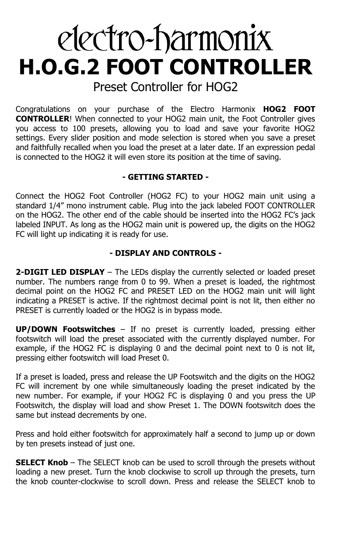# electro-harmonix **H.O.G.2 FOOT CONTROLLER**

Preset Controller for HOG2

Congratulations on your purchase of the Electro Harmonix **HOG2 FOOT CONTROLLER**! When connected to your HOG2 main unit, the Foot Controller gives you access to 100 presets, allowing you to load and save your favorite HOG2 settings. Every slider position and mode selection is stored when you save a preset and faithfully recalled when you load the preset at a later date. If an expression pedal is connected to the HOG2 it will even store its position at the time of saving.

## **- GETTING STARTED -**

Connect the HOG2 Foot Controller (HOG2 FC) to your HOG2 main unit using a standard 1/4" mono instrument cable. Plug into the jack labeled FOOT CONTROLLER on the HOG2. The other end of the cable should be inserted into the HOG2 FC's jack labeled INPUT. As long as the HOG2 main unit is powered up, the digits on the HOG2 FC will light up indicating it is ready for use.

## **- DISPLAY AND CONTROLS -**

**2-DIGIT LED DISPLAY** – The LEDs display the currently selected or loaded preset number. The numbers range from 0 to 99. When a preset is loaded, the rightmost decimal point on the HOG2 FC and PRESET LED on the HOG2 main unit will light indicating a PRESET is active. If the rightmost decimal point is not lit, then either no PRESET is currently loaded or the HOG2 is in bypass mode.

**UP/DOWN Footswitches** – If no preset is currently loaded, pressing either footswitch will load the preset associated with the currently displayed number. For example, if the HOG2 FC is displaying 0 and the decimal point next to 0 is not lit, pressing either footswitch will load Preset 0.

If a preset is loaded, press and release the UP Footswitch and the digits on the HOG2 FC will increment by one while simultaneously loading the preset indicated by the new number. For example, if your HOG2 FC is displaying 0 and you press the UP Footswitch, the display will load and show Preset 1. The DOWN footswitch does the same but instead decrements by one.

Press and hold either footswitch for approximately half a second to jump up or down by ten presets instead of just one.

**SELECT Knob** – The SELECT knob can be used to scroll through the presets without loading a new preset. Turn the knob clockwise to scroll up through the presets, turn the knob counter-clockwise to scroll down. Press and release the SELECT knob to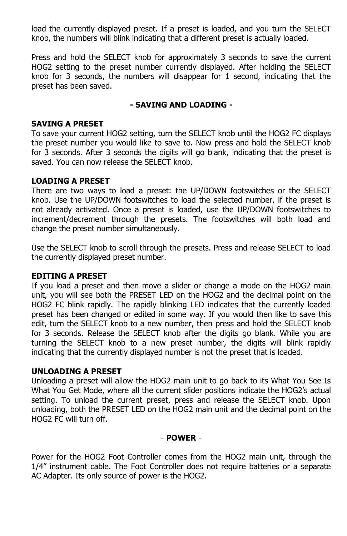load the currently displayed preset. If a preset is loaded, and you turn the SELECT knob, the numbers will blink indicating that a different preset is actually loaded.

Press and hold the SELECT knob for approximately 3 seconds to save the current HOG2 setting to the preset number currently displayed. After holding the SELECT knob for 3 seconds, the numbers will disappear for 1 second, indicating that the preset has been saved.

#### **- SAVING AND LOADING -**

#### **SAVING A PRESET**

To save your current HOG2 setting, turn the SELECT knob until the HOG2 FC displays the preset number you would like to save to. Now press and hold the SELECT knob for 3 seconds. After 3 seconds the digits will go blank, indicating that the preset is saved. You can now release the SELECT knob.

#### **LOADING A PRESET**

There are two ways to load a preset: the UP/DOWN footswitches or the SELECT knob. Use the UP/DOWN footswitches to load the selected number, if the preset is not already activated. Once a preset is loaded, use the UP/DOWN footswitches to increment/decrement through the presets. The footswitches will both load and change the preset number simultaneously.

Use the SELECT knob to scroll through the presets. Press and release SELECT to load the currently displayed preset number.

#### **EDITING A PRESET**

If you load a preset and then move a slider or change a mode on the HOG2 main unit, you will see both the PRESET LED on the HOG2 and the decimal point on the HOG2 FC blink rapidly. The rapidly blinking LED indicates that the currently loaded preset has been changed or edited in some way. If you would then like to save this edit, turn the SELECT knob to a new number, then press and hold the SELECT knob for 3 seconds. Release the SELECT knob after the digits go blank. While you are turning the SELECT knob to a new preset number, the digits will blink rapidly indicating that the currently displayed number is not the preset that is loaded.

#### **UNLOADING A PRESET**

Unloading a preset will allow the HOG2 main unit to go back to its What You See Is What You Get Mode, where all the current slider positions indicate the HOG2's actual setting. To unload the current preset, press and release the SELECT knob. Upon unloading, both the PRESET LED on the HOG2 main unit and the decimal point on the HOG2 FC will turn off.

#### - **POWER** -

Power for the HOG2 Foot Controller comes from the HOG2 main unit, through the 1/4" instrument cable. The Foot Controller does not require batteries or a separate AC Adapter. Its only source of power is the HOG2.